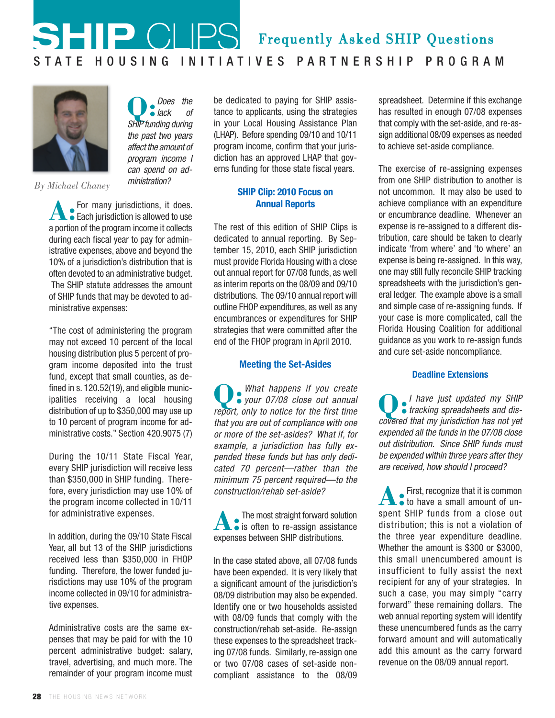# **SHIP** CLIPS S TA T E HOUS IN G IN IT I A TIVES PARTNERS HIP PROGRAM Frequently Asked SHIP Questions



*By Michael Chaney*

**A:** For many jurisdictions, it does. Each jurisdiction is allowed to use a portion of the program income it collects during each fiscal year to pay for administrative expenses, above and beyond the 10% of a jurisdiction's distribution that is often devoted to an administrative budget. The SHIP statute addresses the amount of SHIP funds that may be devoted to administrative expenses:

**Q:**

Does the lack of SHIP funding during the past two years affect the amount of program income I can spend on administration?

"The cost of administering the program may not exceed 10 percent of the local housing distribution plus 5 percent of program income deposited into the trust fund, except that small counties, as defined in s. 120.52(19), and eligible municipalities receiving a local housing distribution of up to \$350,000 may use up to 10 percent of program income for administrative costs." Section 420.9075 (7)

During the 10/11 State Fiscal Year, every SHIP jurisdiction will receive less than \$350,000 in SHIP funding. Therefore, every jurisdiction may use 10% of the program income collected in 10/11 for administrative expenses.

In addition, during the 09/10 State Fiscal Year, all but 13 of the SHIP jurisdictions received less than \$350,000 in FHOP funding. Therefore, the lower funded jurisdictions may use 10% of the program income collected in 09/10 for administrative expenses.

Administrative costs are the same expenses that may be paid for with the 10 percent administrative budget: salary, travel, advertising, and much more. The remainder of your program income must

be dedicated to paying for SHIP assistance to applicants, using the strategies in your Local Housing Assistance Plan (LHAP). Before spending 09/10 and 10/11 program income, confirm that your jurisdiction has an approved LHAP that governs funding for those state fiscal years.

## **SHIP Clip: 2010 Focus on Annual Reports**

The rest of this edition of SHIP Clips is dedicated to annual reporting. By September 15, 2010, each SHIP jurisdiction must provide Florida Housing with a close out annual report for 07/08 funds, as well as interim reports on the 08/09 and 09/10 distributions. The 09/10 annual report will outline FHOP expenditures, as well as any encumbrances or expenditures for SHIP strategies that were committed after the end of the FHOP program in April 2010.

## **Meeting the Set-Asides**

**Q:** What happens if you create What happens if you create report, only to notice for the first time that you are out of compliance with one or more of the set-asides? What if, for example, a jurisdiction has fully expended these funds but has only dedicated 70 percent—rather than the minimum 75 percent required—to the construction/rehab set-aside?

**A:** The most straight forward solution is often to re-assign assistance expenses between SHIP distributions.

In the case stated above, all 07/08 funds have been expended. It is very likely that a significant amount of the jurisdiction's 08/09 distribution may also be expended. Identify one or two households assisted with 08/09 funds that comply with the construction/rehab set-aside. Re-assign these expenses to the spreadsheet tracking 07/08 funds. Similarly, re-assign one or two 07/08 cases of set-aside noncompliant assistance to the 08/09

spreadsheet. Determine if this exchange has resulted in enough 07/08 expenses that comply with the set-aside, and re-assign additional 08/09 expenses as needed to achieve set-aside compliance.

The exercise of re-assigning expenses from one SHIP distribution to another is not uncommon. It may also be used to achieve compliance with an expenditure or encumbrance deadline. Whenever an expense is re-assigned to a different distribution, care should be taken to clearly indicate 'from where' and 'to where' an expense is being re-assigned. In this way, one may still fully reconcile SHIP tracking spreadsheets with the jurisdiction's general ledger. The example above is a small and simple case of re-assigning funds. If your case is more complicated, call the Florida Housing Coalition for additional guidance as you work to re-assign funds and cure set-aside noncompliance.

## **Deadline Extensions**

**Q:** I have just updated my SHIP • tracking spreadsheets and discovered that my jurisdiction has not yet expended all the funds in the 07/08 close out distribution. Since SHIP funds must be expended within three years after they are received, how should I proceed?

**A:** First, recognize that it is common to have a small amount of unspent SHIP funds from a close out distribution; this is not a violation of the three year expenditure deadline. Whether the amount is \$300 or \$3000, this small unencumbered amount is insufficient to fully assist the next recipient for any of your strategies. In such a case, you may simply "carry forward" these remaining dollars. The web annual reporting system will identify these unencumbered funds as the carry forward amount and will automatically add this amount as the carry forward revenue on the 08/09 annual report.